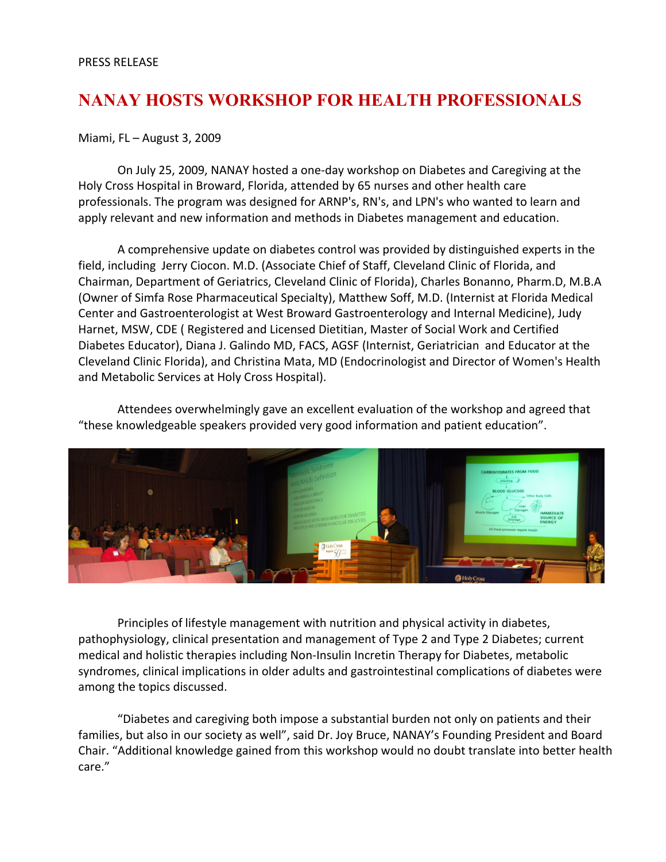## **NANAY HOSTS WORKSHOP FOR HEALTH PROFESSIONALS**

## Miami, FL – August 3, 2009

On July 25, 2009, NANAY hosted a one-day workshop on Diabetes and Caregiving at the Holy Cross Hospital in Broward, Florida, attended by 65 nurses and other health care professionals. The program was designed for ARNP's, RN's, and LPN's who wanted to learn and apply relevant and new information and methods in Diabetes management and education.

A comprehensive update on diabetes control was provided by distinguished experts in the field, including Jerry Ciocon. M.D. (Associate Chief of Staff, Cleveland Clinic of Florida, and Chairman, Department of Geriatrics, Cleveland Clinic of Florida), Charles Bonanno, Pharm.D, M.B.A (Owner of Simfa Rose Pharmaceutical Specialty), Matthew Soff, M.D. (Internist at Florida Medical Center and Gastroenterologist at West Broward Gastroenterology and Internal Medicine), Judy Harnet, MSW, CDE ( Registered and Licensed Dietitian, Master of Social Work and Certified Diabetes Educator), Diana J. Galindo MD, FACS, AGSF (Internist, Geriatrician and Educator at the Cleveland Clinic Florida), and Christina Mata, MD (Endocrinologist and Director of Women's Health and Metabolic Services at Holy Cross Hospital).

Attendees overwhelmingly gave an excellent evaluation of the workshop and agreed that "these knowledgeable speakers provided very good information and patient education".



Principles of lifestyle management with nutrition and physical activity in diabetes, pathophysiology, clinical presentation and management of Type 2 and Type 2 Diabetes; current medical and holistic therapies including Non-Insulin Incretin Therapy for Diabetes, metabolic syndromes, clinical implications in older adults and gastrointestinal complications of diabetes were among the topics discussed.

"Diabetes and caregiving both impose a substantial burden not only on patients and their families, but also in our society as well", said Dr. Joy Bruce, NANAY's Founding President and Board Chair. "Additional knowledge gained from this workshop would no doubt translate into better health care."